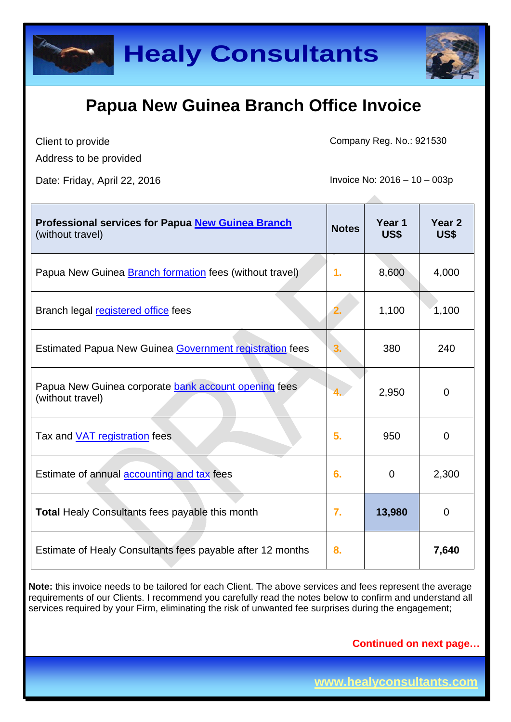

Client to provide

Company Reg. No.: 921530

Address to be provided

Date: Friday, April 22, 2016 **Invoice No: 2016** - 10 – 003p

| <b>Professional services for Papua New Guinea Branch</b><br>(without travel) | <b>Notes</b> | Year 1<br>US\$ | Year <sub>2</sub><br>US\$ |
|------------------------------------------------------------------------------|--------------|----------------|---------------------------|
| Papua New Guinea <b>Branch formation</b> fees (without travel)               | 1.           | 8,600          | 4,000                     |
| Branch legal registered office fees                                          | 2.           | 1,100          | 1,100                     |
| Estimated Papua New Guinea Government registration fees                      |              | 380            | 240                       |
| Papua New Guinea corporate bank account opening fees<br>(without travel)     |              | 2,950          | $\overline{0}$            |
| Tax and <b>VAT</b> registration fees                                         | 5.           | 950            | 0                         |
| Estimate of annual <b>accounting and tax</b> fees                            | 6.           | $\mathbf 0$    | 2,300                     |
| <b>Total Healy Consultants fees payable this month</b>                       | 7.           | 13,980         | $\mathbf 0$               |
| Estimate of Healy Consultants fees payable after 12 months                   | 8.           |                | 7,640                     |

**Note:** this invoice needs to be tailored for each Client. The above services and fees represent the average requirements of our Clients. I recommend you carefully read the notes below to confirm and understand all services required by your Firm, eliminating the risk of unwanted fee surprises during the engagement;

**Continued on next page…**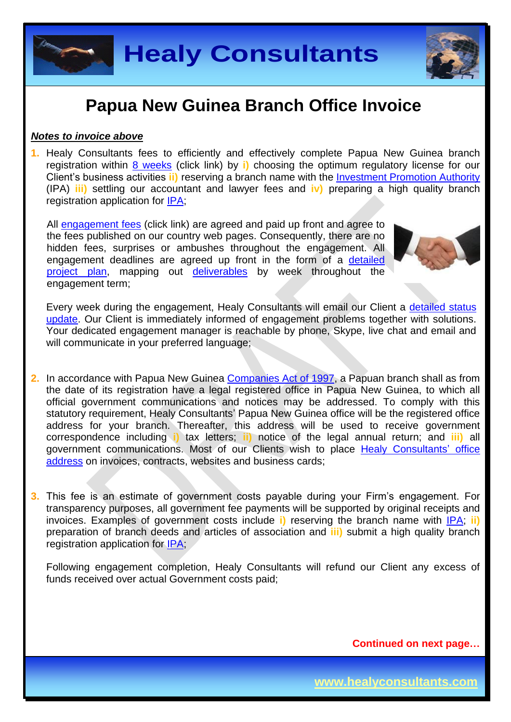

#### *Notes to invoice above*

**1.** Healy Consultants fees to efficiently and effectively complete Papua New Guinea branch registration within 8 [weeks](http://www.healyconsultants.com/papua-new-guinea-company-registration/fees-timelines/#timelines) (click link) by **i)** choosing the optimum regulatory license for our Client's business activities **ii)** reserving a branch name with the [Investment Promotion Authority](http://www.ipa.gov.pg/business-registration-regulation-and-certification/) (IPA) **iii)** settling our accountant and lawyer fees and **iv)** preparing a high quality branch registration application for [IPA;](http://www.ipa.gov.pg/)

All [engagement fees](http://www.healyconsultants.com/company-registration-fees/) (click link) are agreed and paid up front and agree to the fees published on our country web pages. Consequently, there are no hidden fees, surprises or ambushes throughout the engagement. All engagement deadlines are agreed up front in the form of a [detailed](http://www.healyconsultants.com/index-important-links/example-project-plan/)  [project plan,](http://www.healyconsultants.com/index-important-links/example-project-plan/) mapping out [deliverables](http://www.healyconsultants.com/deliverables-to-our-clients/) by week throughout the engagement term;



Every week during the engagement. Healy Consultants will email our Client a detailed status [update.](http://www.healyconsultants.com/index-important-links/weekly-engagement-status-email/) Our Client is immediately informed of engagement problems together with solutions. Your dedicated engagement manager is reachable by phone, Skype, live chat and email and will communicate in your preferred language;

- **2.** In accordance with Papua New Guinea [Companies Act of 1997,](http://www.wipo.int/wipolex/en/text.jsp?file_id=193906) a Papuan branch shall as from the date of its registration have a legal registered office in Papua New Guinea, to which all official government communications and notices may be addressed. To comply with this statutory requirement, Healy Consultants' Papua New Guinea office will be the registered office address for your branch. Thereafter, this address will be used to receive government correspondence including **i)** tax letters; **ii)** notice of the legal annual return; and **iii)** all government communications. Most of our Clients wish to place [Healy Consultants'](http://www.healyconsultants.com/corporate-outsourcing-services/company-secretary-and-legal-registered-office/) office [address](http://www.healyconsultants.com/corporate-outsourcing-services/company-secretary-and-legal-registered-office/) on invoices, contracts, websites and business cards;
- **3.** This fee is an estimate of government costs payable during your Firm's engagement. For transparency purposes, all government fee payments will be supported by original receipts and invoices. Examples of government costs include **i)** reserving the branch name with [IPA;](http://www.ipa.gov.pg/) **ii)** preparation of branch deeds and articles of association and **iii)** submit a high quality branch registration application for **IPA**;

Following engagement completion, Healy Consultants will refund our Client any excess of funds received over actual Government costs paid;

**Continued on next page…**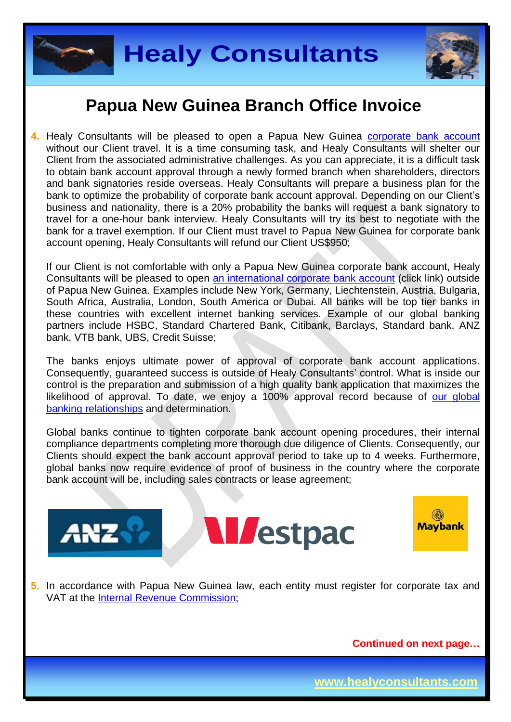



4. Healy Consultants will be pleased to open a Papua New Guinea **[corporate bank account](http://www.healyconsultants.com/papua-new-guinea-company-registration/banking/)** without our Client travel. It is a time consuming task, and Healy Consultants will shelter our Client from the associated administrative challenges. As you can appreciate, it is a difficult task to obtain bank account approval through a newly formed branch when shareholders, directors and bank signatories reside overseas. Healy Consultants will prepare a business plan for the bank to optimize the probability of corporate bank account approval. Depending on our Client's business and nationality, there is a 20% probability the banks will request a bank signatory to travel for a one-hour bank interview. Healy Consultants will try its best to negotiate with the bank for a travel exemption. If our Client must travel to Papua New Guinea for corporate bank account opening, Healy Consultants will refund our Client US\$950;

If our Client is not comfortable with only a Papua New Guinea corporate bank account, Healy Consultants will be pleased to open [an international corporate bank account](http://www.healyconsultants.com/international-banking/) (click link) outside of Papua New Guinea. Examples include New York, Germany, Liechtenstein, Austria, Bulgaria, South Africa, Australia, London, South America or Dubai. All banks will be top tier banks in these countries with excellent internet banking services. Example of our global banking partners include HSBC, Standard Chartered Bank, Citibank, Barclays, Standard bank, ANZ bank, VTB bank, UBS, Credit Suisse;

The banks enjoys ultimate power of approval of corporate bank account applications. Consequently, guaranteed success is outside of Healy Consultants' control. What is inside our control is the preparation and submission of a high quality bank application that maximizes the likelihood of approval. To date, we enjoy a 100% approval record because of our global [banking relationships](http://www.healyconsultants.com/international-banking/corporate-accounts/) and determination.

Global banks continue to tighten corporate bank account opening procedures, their internal compliance departments completing more thorough due diligence of Clients. Consequently, our Clients should expect the bank account approval period to take up to 4 weeks. Furthermore, global banks now require evidence of proof of business in the country where the corporate bank account will be, including sales contracts or lease agreement;



**M**estpac



**5.** In accordance with Papua New Guinea law, each entity must register for corporate tax and VAT at the [Internal Revenue Commission;](http://www.irc.gov.pg/)

**Continued on next page…**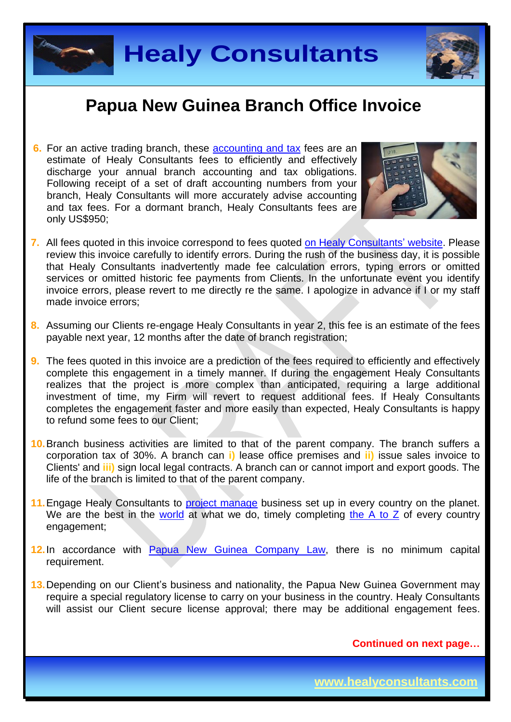



**6.** For an active trading branch, these [accounting and tax](http://www.healyconsultants.com/papua-new-guinea-company-registration/accounting-legal/) fees are an estimate of Healy Consultants fees to efficiently and effectively discharge your annual branch accounting and tax obligations. Following receipt of a set of draft accounting numbers from your branch, Healy Consultants will more accurately advise accounting and tax fees. For a dormant branch, Healy Consultants fees are only US\$950;



- **7.** All fees quoted in this invoice correspond to fees quoted [on Healy Consultants'](http://www.healyconsultants.com/company-registration-fees/) website. Please review this invoice carefully to identify errors. During the rush of the business day, it is possible that Healy Consultants inadvertently made fee calculation errors, typing errors or omitted services or omitted historic fee payments from Clients. In the unfortunate event you identify invoice errors, please revert to me directly re the same. I apologize in advance if I or my staff made invoice errors;
- **8.** Assuming our Clients re-engage Healy Consultants in year 2, this fee is an estimate of the fees payable next year, 12 months after the date of branch registration;
- **9.** The fees quoted in this invoice are a prediction of the fees required to efficiently and effectively complete this engagement in a timely manner. If during the engagement Healy Consultants realizes that the project is more complex than anticipated, requiring a large additional investment of time, my Firm will revert to request additional fees. If Healy Consultants completes the engagement faster and more easily than expected, Healy Consultants is happy to refund some fees to our Client;
- **10.**Branch business activities are limited to that of the parent company. The branch suffers a corporation tax of 30%. A branch can **i)** lease office premises and **ii)** issue sales invoice to Clients' and **iii)** sign local legal contracts. A branch can or cannot import and export goods. The life of the branch is limited to that of the parent company.
- 11. Engage Healy Consultants to [project manage](http://www.healyconsultants.com/project-manage-engagements/) business set up in every country on the planet. We are the best in the [world](http://www.healyconsultants.com/best-in-the-world/) at what we do, timely completing the  $A$  to  $Z$  of every country engagement;
- **12.**In accordance with [Papua New Guinea](http://www.wipo.int/wipolex/en/text.jsp?file_id=199754) Company Law, there is no minimum capital requirement.
- **13.**Depending on our Client's business and nationality, the Papua New Guinea Government may require a special regulatory license to carry on your business in the country. Healy Consultants will assist our Client secure license approval; there may be additional engagement fees.

**Continued on next page…**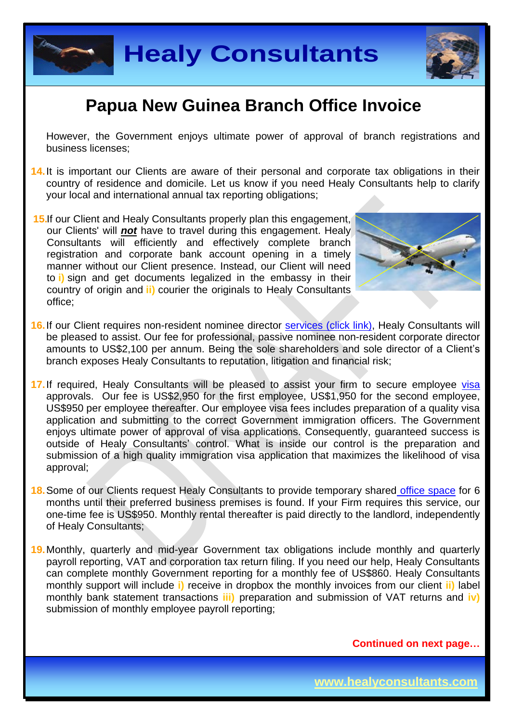



However, the Government enjoys ultimate power of approval of branch registrations and business licenses;

- **14.**It is important our Clients are aware of their personal and corporate tax obligations in their country of residence and domicile. Let us know if you need Healy Consultants help to clarify your local and international annual tax reporting obligations;
- **15.**If our Client and Healy Consultants properly plan this engagement, our Clients' will *not* have to travel during this engagement. Healy Consultants will efficiently and effectively complete branch registration and corporate bank account opening in a timely manner without our Client presence. Instead, our Client will need to **i)** sign and get documents legalized in the embassy in their country of origin and **ii)** courier the originals to Healy Consultants office;



- 16. If our Client requires non-resident nominee director services [\(click link\),](http://www.healyconsultants.com/corporate-outsourcing-services/nominee-shareholders-directors/) Healy Consultants will be pleased to assist. Our fee for professional, passive nominee non-resident corporate director amounts to US\$2,100 per annum. Being the sole shareholders and sole director of a Client's branch exposes Healy Consultants to reputation, litigation and financial risk;
- 17. If required, Healy Consultants will be pleased to assist your firm to secure employee [visa](http://www.healyconsultants.com/papua-new-guinea-company-registration/formation-support-services/) approvals. Our fee is US\$2,950 for the first employee, US\$1,950 for the second employee, US\$950 per employee thereafter. Our employee visa fees includes preparation of a quality visa application and submitting to the correct Government immigration officers. The Government enjoys ultimate power of approval of visa applications. Consequently, guaranteed success is outside of Healy Consultants' control. What is inside our control is the preparation and submission of a high quality immigration visa application that maximizes the likelihood of visa approval;
- **18.**Some of our Clients request Healy Consultants to provide temporary shared [office space](http://www.healyconsultants.com/virtual-office/) for 6 months until their preferred business premises is found. If your Firm requires this service, our one-time fee is US\$950. Monthly rental thereafter is paid directly to the landlord, independently of Healy Consultants;
- **19.**Monthly, quarterly and mid-year Government tax obligations include monthly and quarterly payroll reporting, VAT and corporation tax return filing. If you need our help, Healy Consultants can complete monthly Government reporting for a monthly fee of US\$860. Healy Consultants monthly support will include **i)** receive in dropbox the monthly invoices from our client **ii)** label monthly bank statement transactions **iii)** preparation and submission of VAT returns and **iv)** submission of monthly employee payroll reporting;

**Continued on next page…**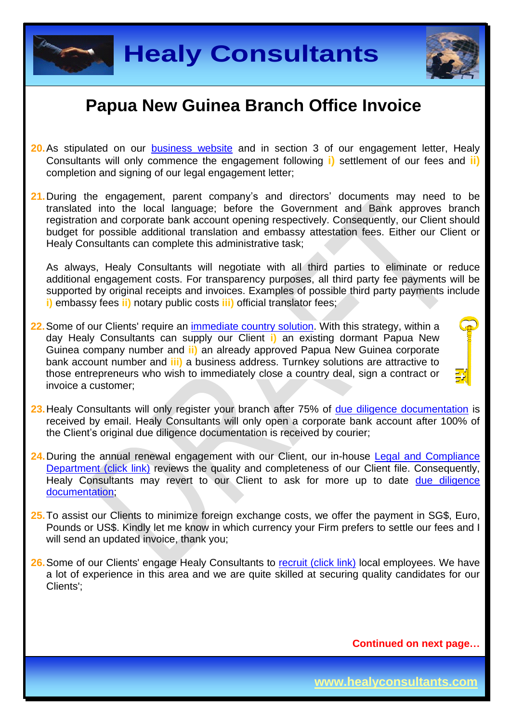



- **20.**As stipulated on our [business website](http://www.healyconsultants.com/) and in section 3 of our engagement letter, Healy Consultants will only commence the engagement following **i)** settlement of our fees and **ii)** completion and signing of our legal engagement letter;
- **21.**During the engagement, parent company's and directors' documents may need to be translated into the local language; before the Government and Bank approves branch registration and corporate bank account opening respectively. Consequently, our Client should budget for possible additional translation and embassy attestation fees. Either our Client or Healy Consultants can complete this administrative task;

As always, Healy Consultants will negotiate with all third parties to eliminate or reduce additional engagement costs. For transparency purposes, all third party fee payments will be supported by original receipts and invoices. Examples of possible third party payments include **i)** embassy fees **ii)** notary public costs **iii)** official translator fees;

- **22.**Some of our Clients' require an [immediate country](http://www.healyconsultants.com/turnkey-solutions/) solution. With this strategy, within a day Healy Consultants can supply our Client **i)** an existing dormant Papua New Guinea company number and **ii)** an already approved Papua New Guinea corporate bank account number and **iii)** a business address. Turnkey solutions are attractive to those entrepreneurs who wish to immediately close a country deal, sign a contract or invoice a customer;
- **23.**Healy Consultants will only register your branch after 75% of [due diligence documentation](http://www.healyconsultants.com/due-diligence/) is received by email. Healy Consultants will only open a corporate bank account after 100% of the Client's original due diligence documentation is received by courier;
- **24.**During the annual renewal engagement with our Client, our in-house [Legal and Compliance](http://www.healyconsultants.com/about-us/key-personnel/cai-xin-profile/)  [Department \(click link\)](http://www.healyconsultants.com/about-us/key-personnel/cai-xin-profile/) reviews the quality and completeness of our Client file. Consequently, Healy Consultants may revert to our Client to ask for more up to date due diligence [documentation;](http://www.healyconsultants.com/due-diligence/)
- **25.**To assist our Clients to minimize foreign exchange costs, we offer the payment in SG\$, Euro, Pounds or US\$. Kindly let me know in which currency your Firm prefers to settle our fees and I will send an updated invoice, thank you:
- **26.**Some of our Clients' engage Healy Consultants to [recruit \(click link\)](http://www.healyconsultants.com/corporate-outsourcing-services/how-we-help-our-clients-recruit-quality-employees/) local employees. We have a lot of experience in this area and we are quite skilled at securing quality candidates for our Clients';

**Continued on next page…**